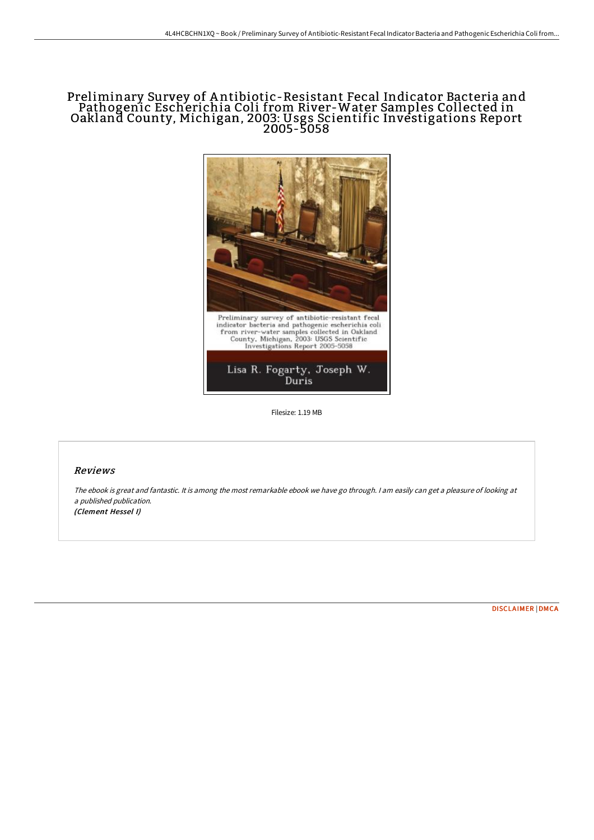## Preliminary Survey of A ntibiotic-Resistant Fecal Indicator Bacteria and Pathogenic Escherichia Coli from River-Water Samples Collected in Oakland County, Michigan, 2003: Usgs Scientific Investigations Report 2005-5058



Filesize: 1.19 MB

## Reviews

The ebook is great and fantastic. It is among the most remarkable ebook we have go through. <sup>I</sup> am easily can get <sup>a</sup> pleasure of looking at <sup>a</sup> published publication. (Clement Hessel I)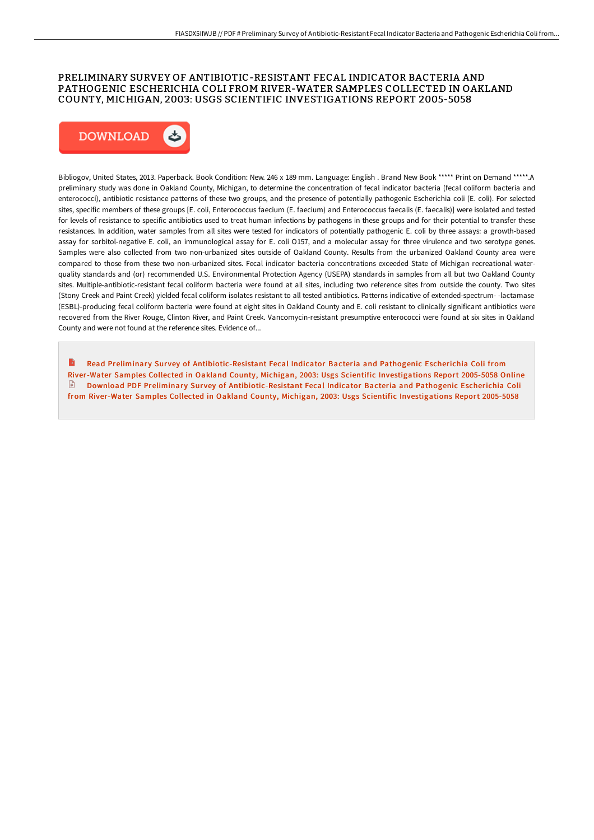## PRELIMINARY SURVEY OF ANTIBIOTIC-RESISTANT FECAL INDICATOR BACTERIA AND PATHOGENIC ESCHERICHIA COLI FROM RIVER-WATER SAMPLES COLLECTED IN OAKLAND COUNTY, MICHIGAN, 2003: USGS SCIENTIFIC INVESTIGATIONS REPORT 2005-5058



Bibliogov, United States, 2013. Paperback. Book Condition: New. 246 x 189 mm. Language: English . Brand New Book \*\*\*\*\* Print on Demand \*\*\*\*\*.A preliminary study was done in Oakland County, Michigan, to determine the concentration of fecal indicator bacteria (fecal coliform bacteria and enterococci), antibiotic resistance patterns of these two groups, and the presence of potentially pathogenic Escherichia coli (E. coli). For selected sites, specific members of these groups [E. coli, Enterococcus faecium (E. faecium) and Enterococcus faecalis (E. faecalis)] were isolated and tested for levels of resistance to specific antibiotics used to treat human infections by pathogens in these groups and for their potential to transfer these resistances. In addition, water samples from all sites were tested for indicators of potentially pathogenic E. coli by three assays: a growth-based assay for sorbitol-negative E. coli, an immunological assay for E. coli O157, and a molecular assay for three virulence and two serotype genes. Samples were also collected from two non-urbanized sites outside of Oakland County. Results from the urbanized Oakland County area were compared to those from these two non-urbanized sites. Fecal indicator bacteria concentrations exceeded State of Michigan recreational waterquality standards and (or) recommended U.S. Environmental Protection Agency (USEPA) standards in samples from all but two Oakland County sites. Multiple-antibiotic-resistant fecal coliform bacteria were found at all sites, including two reference sites from outside the county. Two sites (Stony Creek and Paint Creek) yielded fecal coliform isolates resistant to all tested antibiotics. Patterns indicative of extended-spectrum- -lactamase (ESBL)-producing fecal coliform bacteria were found at eight sites in Oakland County and E. coli resistant to clinically significant antibiotics were recovered from the River Rouge, Clinton River, and Paint Creek. Vancomycin-resistant presumptive enterococci were found at six sites in Oakland County and were not found at the reference sites. Evidence of...

Read Preliminary Survey of [Antibiotic-Resistant](http://techno-pub.tech/preliminary-survey-of-antibiotic-resistant-fecal.html) Fecal Indicator Bacteria and Pathogenic Escherichia Coli from River-Water Samples Collected in Oakland County, Michigan, 2003: Usgs Scientific Investigations Report 2005-5058 Online  $\Box$  Download PDF Preliminary Survey of [Antibiotic-Resistant](http://techno-pub.tech/preliminary-survey-of-antibiotic-resistant-fecal.html) Fecal Indicator Bacteria and Pathogenic Escherichia Coli from River-Water Samples Collected in Oakland County, Michigan, 2003: Usgs Scientific Investigations Report 2005-5058